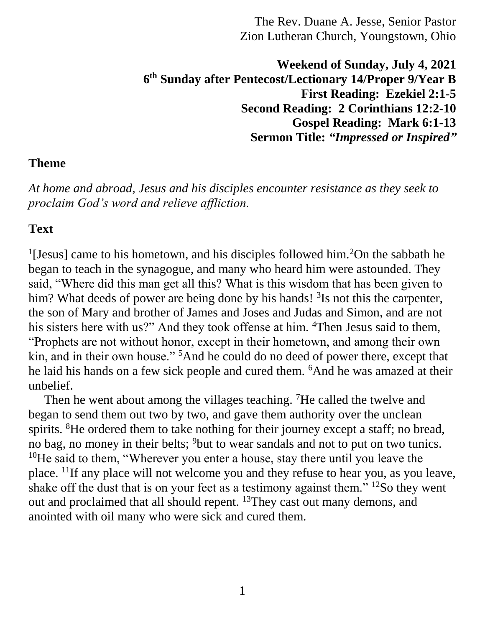**Weekend of Sunday, July 4, 2021 6 th Sunday after Pentecost/Lectionary 14/Proper 9/Year B First Reading: Ezekiel 2:1-5 Second Reading: 2 Corinthians 12:2-10 Gospel Reading: Mark 6:1-13 Sermon Title:** *"Impressed or Inspired"*

#### **Theme**

*At home and abroad, Jesus and his disciples encounter resistance as they seek to proclaim God's word and relieve affliction.*

#### **Text**

<sup>1</sup>[Jesus] came to his hometown, and his disciples followed him.<sup>2</sup>On the sabbath he began to teach in the synagogue, and many who heard him were astounded. They said, "Where did this man get all this? What is this wisdom that has been given to him? What deeds of power are being done by his hands! <sup>3</sup>Is not this the carpenter, the son of Mary and brother of James and Joses and Judas and Simon, and are not his sisters here with us?" And they took offense at him. <sup>4</sup>Then Jesus said to them, "Prophets are not without honor, except in their hometown, and among their own kin, and in their own house." <sup>5</sup>And he could do no deed of power there, except that he laid his hands on a few sick people and cured them. <sup>6</sup>And he was amazed at their unbelief.

Then he went about among the villages teaching. <sup>7</sup>He called the twelve and began to send them out two by two, and gave them authority over the unclean spirits. <sup>8</sup>He ordered them to take nothing for their journey except a staff; no bread, no bag, no money in their belts; <sup>9</sup>but to wear sandals and not to put on two tunics. <sup>10</sup>He said to them, "Wherever you enter a house, stay there until you leave the place. <sup>11</sup>If any place will not welcome you and they refuse to hear you, as you leave, shake off the dust that is on your feet as a testimony against them."  $^{12}$ So they went out and proclaimed that all should repent. <sup>13</sup>They cast out many demons, and anointed with oil many who were sick and cured them.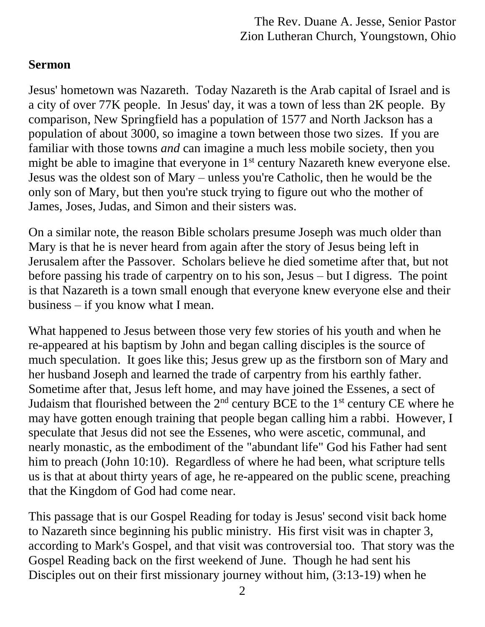## **Sermon**

Jesus' hometown was Nazareth. Today Nazareth is the Arab capital of Israel and is a city of over 77K people. In Jesus' day, it was a town of less than 2K people. By comparison, New Springfield has a population of 1577 and North Jackson has a population of about 3000, so imagine a town between those two sizes. If you are familiar with those towns *and* can imagine a much less mobile society, then you might be able to imagine that everyone in 1<sup>st</sup> century Nazareth knew everyone else. Jesus was the oldest son of Mary – unless you're Catholic, then he would be the only son of Mary, but then you're stuck trying to figure out who the mother of James, Joses, Judas, and Simon and their sisters was.

On a similar note, the reason Bible scholars presume Joseph was much older than Mary is that he is never heard from again after the story of Jesus being left in Jerusalem after the Passover. Scholars believe he died sometime after that, but not before passing his trade of carpentry on to his son, Jesus – but I digress. The point is that Nazareth is a town small enough that everyone knew everyone else and their business – if you know what I mean.

What happened to Jesus between those very few stories of his youth and when he re-appeared at his baptism by John and began calling disciples is the source of much speculation. It goes like this; Jesus grew up as the firstborn son of Mary and her husband Joseph and learned the trade of carpentry from his earthly father. Sometime after that, Jesus left home, and may have joined the Essenes, a sect of Judaism that flourished between the  $2<sup>nd</sup>$  century BCE to the  $1<sup>st</sup>$  century CE where he may have gotten enough training that people began calling him a rabbi. However, I speculate that Jesus did not see the Essenes, who were ascetic, communal, and nearly monastic, as the embodiment of the "abundant life" God his Father had sent him to preach (John 10:10). Regardless of where he had been, what scripture tells us is that at about thirty years of age, he re-appeared on the public scene, preaching that the Kingdom of God had come near.

This passage that is our Gospel Reading for today is Jesus' second visit back home to Nazareth since beginning his public ministry. His first visit was in chapter 3, according to Mark's Gospel, and that visit was controversial too. That story was the Gospel Reading back on the first weekend of June. Though he had sent his Disciples out on their first missionary journey without him,  $(3:13-19)$  when he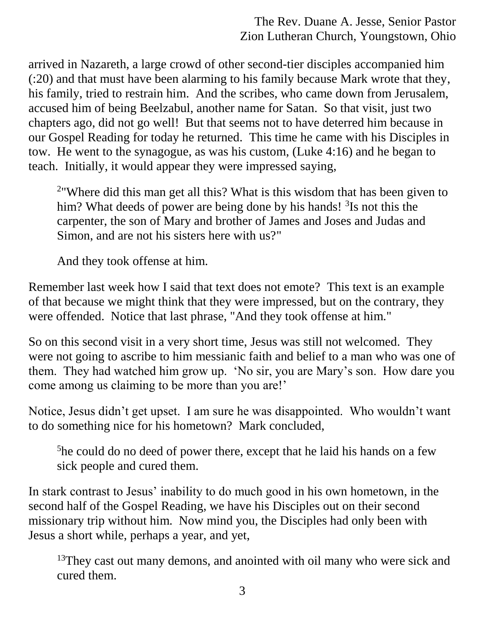arrived in Nazareth, a large crowd of other second-tier disciples accompanied him (:20) and that must have been alarming to his family because Mark wrote that they, his family, tried to restrain him. And the scribes, who came down from Jerusalem, accused him of being Beelzabul, another name for Satan. So that visit, just two chapters ago, did not go well! But that seems not to have deterred him because in our Gospel Reading for today he returned. This time he came with his Disciples in tow. He went to the synagogue, as was his custom, (Luke 4:16) and he began to teach. Initially, it would appear they were impressed saying,

<sup>2</sup> Where did this man get all this? What is this wisdom that has been given to him? What deeds of power are being done by his hands! <sup>3</sup>Is not this the carpenter, the son of Mary and brother of James and Joses and Judas and Simon, and are not his sisters here with us?"

And they took offense at him.

Remember last week how I said that text does not emote? This text is an example of that because we might think that they were impressed, but on the contrary, they were offended. Notice that last phrase, "And they took offense at him."

So on this second visit in a very short time, Jesus was still not welcomed. They were not going to ascribe to him messianic faith and belief to a man who was one of them. They had watched him grow up. 'No sir, you are Mary's son. How dare you come among us claiming to be more than you are!'

Notice, Jesus didn't get upset. I am sure he was disappointed. Who wouldn't want to do something nice for his hometown? Mark concluded,

<sup>5</sup>he could do no deed of power there, except that he laid his hands on a few sick people and cured them.

In stark contrast to Jesus' inability to do much good in his own hometown, in the second half of the Gospel Reading, we have his Disciples out on their second missionary trip without him. Now mind you, the Disciples had only been with Jesus a short while, perhaps a year, and yet,

<sup>13</sup>They cast out many demons, and anointed with oil many who were sick and cured them.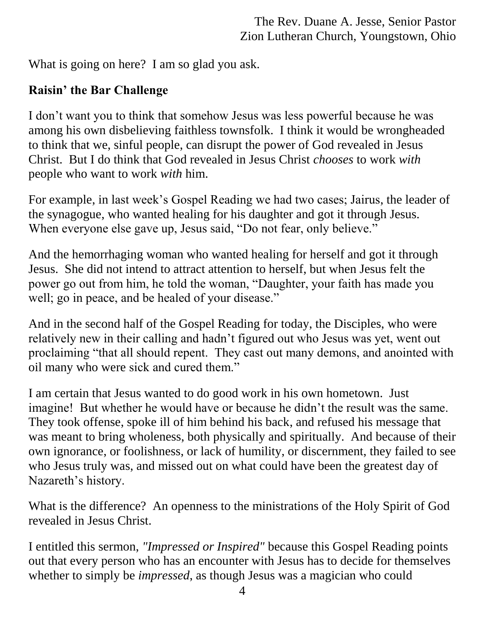What is going on here? I am so glad you ask.

# **Raisin' the Bar Challenge**

I don't want you to think that somehow Jesus was less powerful because he was among his own disbelieving faithless townsfolk. I think it would be wrongheaded to think that we, sinful people, can disrupt the power of God revealed in Jesus Christ. But I do think that God revealed in Jesus Christ *chooses* to work *with* people who want to work *with* him.

For example, in last week's Gospel Reading we had two cases; Jairus, the leader of the synagogue, who wanted healing for his daughter and got it through Jesus. When everyone else gave up, Jesus said, "Do not fear, only believe."

And the hemorrhaging woman who wanted healing for herself and got it through Jesus. She did not intend to attract attention to herself, but when Jesus felt the power go out from him, he told the woman, "Daughter, your faith has made you well; go in peace, and be healed of your disease."

And in the second half of the Gospel Reading for today, the Disciples, who were relatively new in their calling and hadn't figured out who Jesus was yet, went out proclaiming "that all should repent. They cast out many demons, and anointed with oil many who were sick and cured them."

I am certain that Jesus wanted to do good work in his own hometown. Just imagine! But whether he would have or because he didn't the result was the same. They took offense, spoke ill of him behind his back, and refused his message that was meant to bring wholeness, both physically and spiritually. And because of their own ignorance, or foolishness, or lack of humility, or discernment, they failed to see who Jesus truly was, and missed out on what could have been the greatest day of Nazareth's history.

What is the difference? An openness to the ministrations of the Holy Spirit of God revealed in Jesus Christ.

I entitled this sermon, *"Impressed or Inspired"* because this Gospel Reading points out that every person who has an encounter with Jesus has to decide for themselves whether to simply be *impressed*, as though Jesus was a magician who could